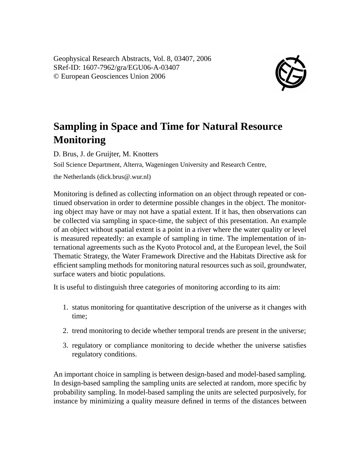Geophysical Research Abstracts, Vol. 8, 03407, 2006 SRef-ID: 1607-7962/gra/EGU06-A-03407 © European Geosciences Union 2006



## **Sampling in Space and Time for Natural Resource Monitoring**

D. Brus, J. de Gruijter, M. Knotters

Soil Science Department, Alterra, Wageningen University and Research Centre,

the Netherlands (dick.brus@.wur.nl)

Monitoring is defined as collecting information on an object through repeated or continued observation in order to determine possible changes in the object. The monitoring object may have or may not have a spatial extent. If it has, then observations can be collected via sampling in space-time, the subject of this presentation. An example of an object without spatial extent is a point in a river where the water quality or level is measured repeatedly: an example of sampling in time. The implementation of international agreements such as the Kyoto Protocol and, at the European level, the Soil Thematic Strategy, the Water Framework Directive and the Habitats Directive ask for efficient sampling methods for monitoring natural resources such as soil, groundwater, surface waters and biotic populations.

It is useful to distinguish three categories of monitoring according to its aim:

- 1. status monitoring for quantitative description of the universe as it changes with time;
- 2. trend monitoring to decide whether temporal trends are present in the universe;
- 3. regulatory or compliance monitoring to decide whether the universe satisfies regulatory conditions.

An important choice in sampling is between design-based and model-based sampling. In design-based sampling the sampling units are selected at random, more specific by probability sampling. In model-based sampling the units are selected purposively, for instance by minimizing a quality measure defined in terms of the distances between